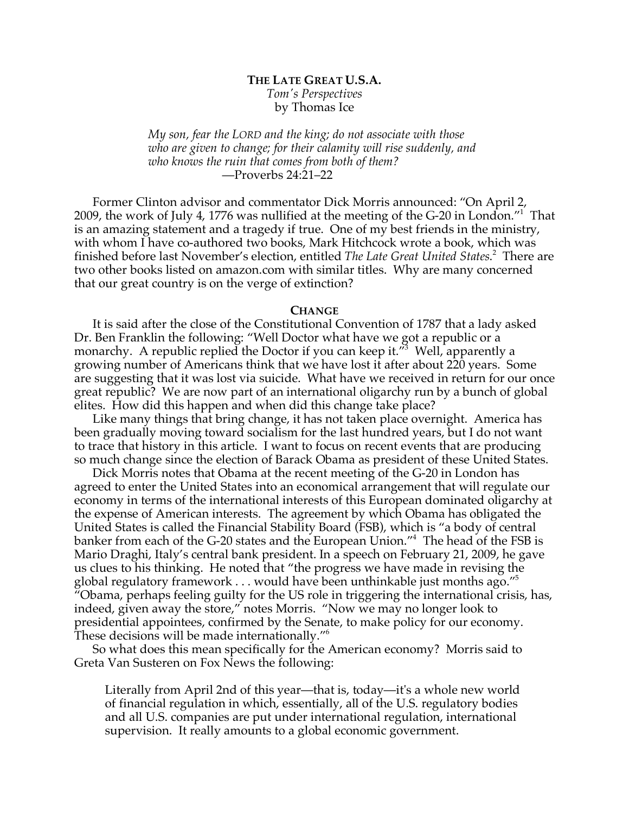# **THE LATE GREAT U.S.A.** *Tom's Perspectives* by Thomas Ice

*My son, fear the LORD and the king; do not associate with those who are given to change; for their calamity will rise suddenly, and who knows the ruin that comes from both of them?* —Proverbs 24:21–22

Former Clinton advisor and commentator Dick Morris announced: "On April 2, 2009, the work of July 4, 1776 was nullified at the meeting of the G-20 in London."1 That is an amazing statement and a tragedy if true. One of my best friends in the ministry, with whom I have co-authored two books, Mark Hitchcock wrote a book, which was finished before last November's election, entitled *The Late Great United States*. 2 There are two other books listed on amazon.com with similar titles. Why are many concerned that our great country is on the verge of extinction?

#### **CHANGE**

It is said after the close of the Constitutional Convention of 1787 that a lady asked Dr. Ben Franklin the following: "Well Doctor what have we got a republic or a monarchy. A republic replied the Doctor if you can keep it."<sup>3</sup> Well, apparently a growing number of Americans think that we have lost it after about 220 years. Some are suggesting that it was lost via suicide. What have we received in return for our once great republic? We are now part of an international oligarchy run by a bunch of global elites. How did this happen and when did this change take place?

Like many things that bring change, it has not taken place overnight. America has been gradually moving toward socialism for the last hundred years, but I do not want to trace that history in this article. I want to focus on recent events that are producing so much change since the election of Barack Obama as president of these United States.

Dick Morris notes that Obama at the recent meeting of the G-20 in London has agreed to enter the United States into an economical arrangement that will regulate our economy in terms of the international interests of this European dominated oligarchy at the expense of American interests. The agreement by which Obama has obligated the United States is called the Financial Stability Board (FSB), which is "a body of central banker from each of the G-20 states and the European Union."4 The head of the FSB is Mario Draghi, Italy's central bank president. In a speech on February 21, 2009, he gave us clues to his thinking. He noted that "the progress we have made in revising the global regulatory framework  $\dots$  would have been unthinkable just months ago."<sup>5</sup> "Obama, perhaps feeling guilty for the US role in triggering the international crisis, has, indeed, given away the store," notes Morris. "Now we may no longer look to presidential appointees, confirmed by the Senate, to make policy for our economy. These decisions will be made internationally."6

So what does this mean specifically for the American economy? Morris said to Greta Van Susteren on Fox News the following:

Literally from April 2nd of this year—that is, today—it's a whole new world of financial regulation in which, essentially, all of the U.S. regulatory bodies and all U.S. companies are put under international regulation, international supervision. It really amounts to a global economic government.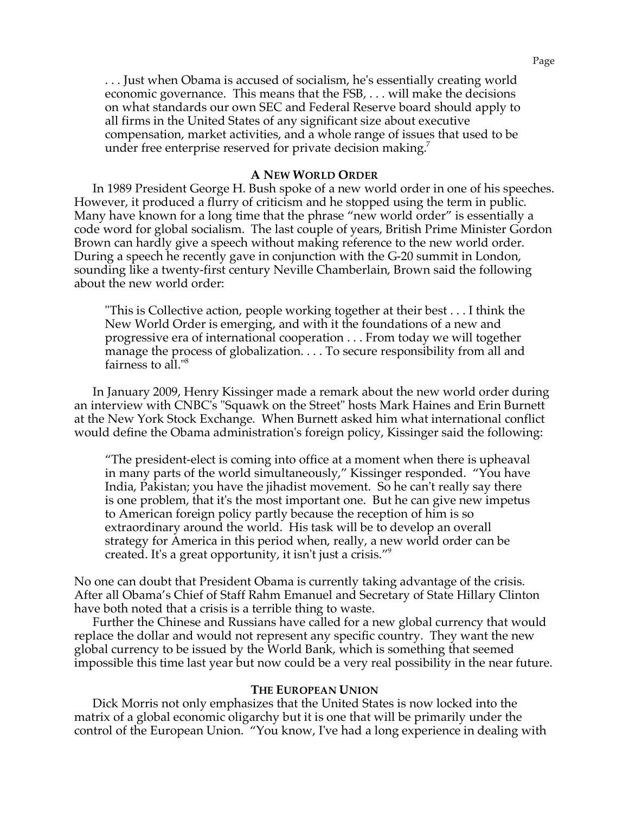. . . Just when Obama is accused of socialism, he's essentially creating world economic governance. This means that the FSB, . . . will make the decisions on what standards our own SEC and Federal Reserve board should apply to all firms in the United States of any significant size about executive compensation, market activities, and a whole range of issues that used to be under free enterprise reserved for private decision making.

## **A NEW WORLD ORDER**

In 1989 President George H. Bush spoke of a new world order in one of his speeches. However, it produced a flurry of criticism and he stopped using the term in public. Many have known for a long time that the phrase "new world order" is essentially a code word for global socialism. The last couple of years, British Prime Minister Gordon Brown can hardly give a speech without making reference to the new world order. During a speech he recently gave in conjunction with the G-20 summit in London, sounding like a twenty-first century Neville Chamberlain, Brown said the following about the new world order:

"This is Collective action, people working together at their best . . . I think the New World Order is emerging, and with it the foundations of a new and progressive era of international cooperation . . . From today we will together manage the process of globalization. . . . To secure responsibility from all and fairness to all."8

In January 2009, Henry Kissinger made a remark about the new world order during an interview with CNBC's "Squawk on the Street" hosts Mark Haines and Erin Burnett at the New York Stock Exchange. When Burnett asked him what international conflict would define the Obama administration's foreign policy, Kissinger said the following:

"The president-elect is coming into office at a moment when there is upheaval in many parts of the world simultaneously," Kissinger responded. "You have India, Pakistan; you have the jihadist movement. So he can't really say there is one problem, that it's the most important one. But he can give new impetus to American foreign policy partly because the reception of him is so extraordinary around the world. His task will be to develop an overall strategy for America in this period when, really, a new world order can be created. It's a great opportunity, it isn't just a crisis."9

No one can doubt that President Obama is currently taking advantage of the crisis. After all Obama's Chief of Staff Rahm Emanuel and Secretary of State Hillary Clinton have both noted that a crisis is a terrible thing to waste.

Further the Chinese and Russians have called for a new global currency that would replace the dollar and would not represent any specific country. They want the new global currency to be issued by the World Bank, which is something that seemed impossible this time last year but now could be a very real possibility in the near future.

### **THE EUROPEAN UNION**

Dick Morris not only emphasizes that the United States is now locked into the matrix of a global economic oligarchy but it is one that will be primarily under the control of the European Union. "You know, I've had a long experience in dealing with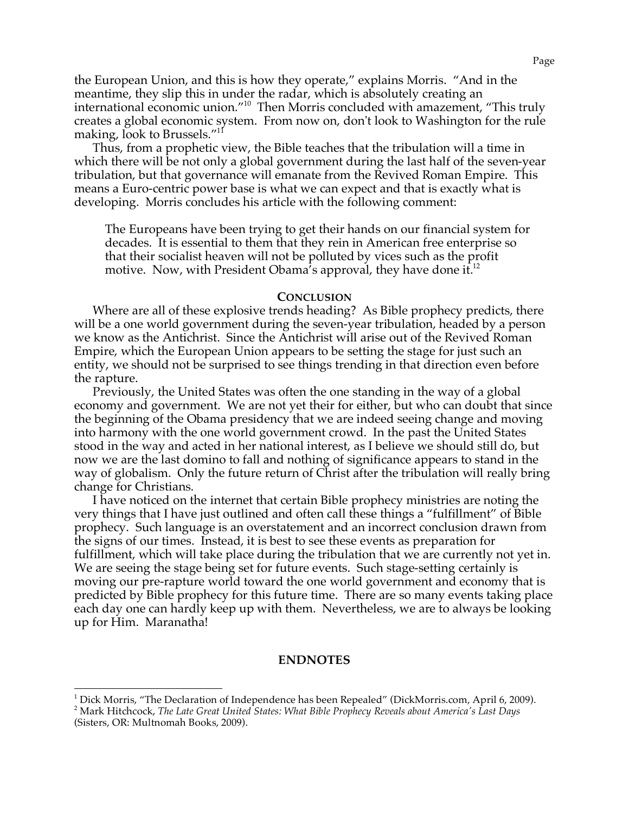the European Union, and this is how they operate," explains Morris. "And in the meantime, they slip this in under the radar, which is absolutely creating an international economic union."10 Then Morris concluded with amazement, "This truly creates a global economic system. From now on, don't look to Washington for the rule making, look to Brussels."<sup>11</sup>

Thus, from a prophetic view, the Bible teaches that the tribulation will a time in which there will be not only a global government during the last half of the seven-year tribulation, but that governance will emanate from the Revived Roman Empire. This means a Euro-centric power base is what we can expect and that is exactly what is developing. Morris concludes his article with the following comment:

The Europeans have been trying to get their hands on our financial system for decades. It is essential to them that they rein in American free enterprise so that their socialist heaven will not be polluted by vices such as the profit motive. Now, with President Obama's approval, they have done it. $12$ 

#### **CONCLUSION**

Where are all of these explosive trends heading? As Bible prophecy predicts, there will be a one world government during the seven-year tribulation, headed by a person we know as the Antichrist. Since the Antichrist will arise out of the Revived Roman Empire, which the European Union appears to be setting the stage for just such an entity, we should not be surprised to see things trending in that direction even before the rapture.

Previously, the United States was often the one standing in the way of a global economy and government. We are not yet their for either, but who can doubt that since the beginning of the Obama presidency that we are indeed seeing change and moving into harmony with the one world government crowd. In the past the United States stood in the way and acted in her national interest, as I believe we should still do, but now we are the last domino to fall and nothing of significance appears to stand in the way of globalism. Only the future return of Christ after the tribulation will really bring change for Christians.

I have noticed on the internet that certain Bible prophecy ministries are noting the very things that I have just outlined and often call these things a "fulfillment" of Bible prophecy. Such language is an overstatement and an incorrect conclusion drawn from the signs of our times. Instead, it is best to see these events as preparation for fulfillment, which will take place during the tribulation that we are currently not yet in. We are seeing the stage being set for future events. Such stage-setting certainly is moving our pre-rapture world toward the one world government and economy that is predicted by Bible prophecy for this future time. There are so many events taking place each day one can hardly keep up with them. Nevertheless, we are to always be looking up for Him. Maranatha!

## **ENDNOTES**

<sup>&</sup>lt;sup>1</sup> Dick Morris, "The Declaration of Independence has been Repealed" (DickMorris.com, April 6, 2009).

Mark Hitchcock, *The Late Great United States: What Bible Prophecy Reveals about America's Last Days* (Sisters, OR: Multnomah Books, 2009).